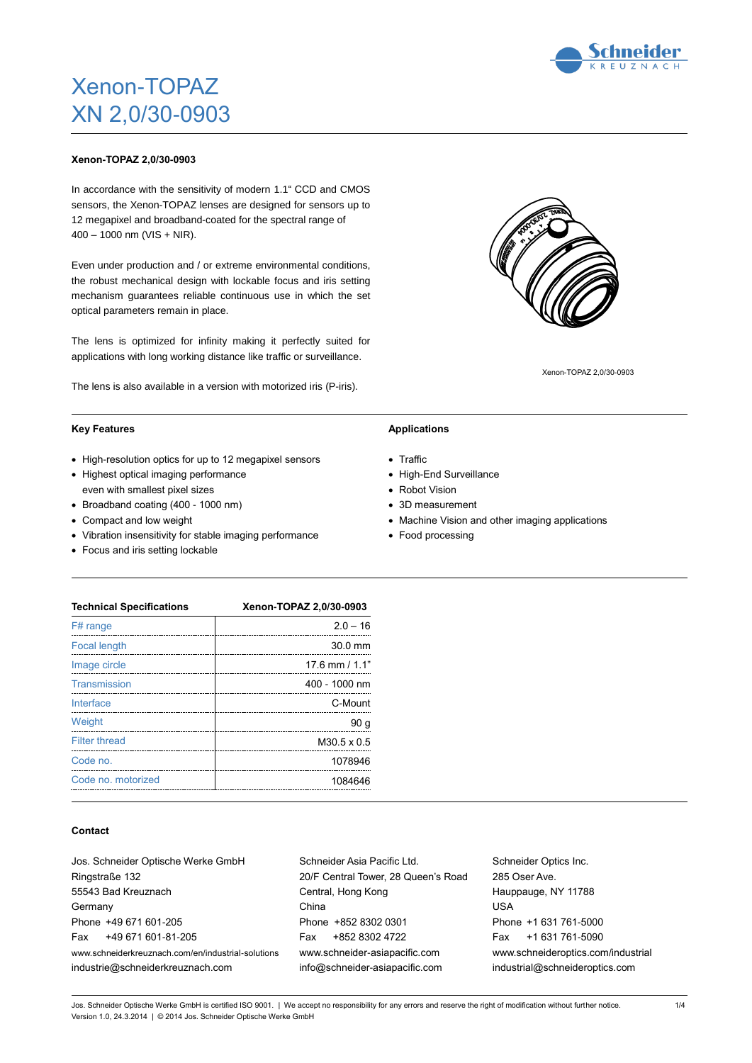# Xenon-TOPAZ XN 2,0/30-0903

#### **Xenon-TOPAZ 2,0/30-0903**

In accordance with the sensitivity of modern 1.1" CCD and CMOS sensors, the Xenon-TOPAZ lenses are designed for sensors up to 12 megapixel and broadband-coated for the spectral range of  $400 - 1000$  nm (VIS + NIR).

Even under production and / or extreme environmental conditions, the robust mechanical design with lockable focus and iris setting mechanism guarantees reliable continuous use in which the set optical parameters remain in place.

The lens is optimized for infinity making it perfectly suited for applications with long working distance like traffic or surveillance.

The lens is also available in a version with motorized iris (P-iris).

#### **Key Features**

- High-resolution optics for up to 12 megapixel sensors
- Highest optical imaging performance even with smallest pixel sizes
- Broadband coating (400 1000 nm)
- Compact and low weight
- Vibration insensitivity for stable imaging performance
- Focus and iris setting lockable

### **Applications**

- Traffic
- High-End Surveillance
- Robot Vision
- 3D measurement
- Machine Vision and other imaging applications
- Food processing

Queen's Road

| <b>Technical Specifications</b> | Xenon-TOPAZ 2,0/30-0903 |  |  |  |
|---------------------------------|-------------------------|--|--|--|
| F# range                        | $2.0 - 16$              |  |  |  |
| <b>Focal length</b>             | $30.0$ mm               |  |  |  |
| Image circle                    | 17.6 mm $/$ 1.1"        |  |  |  |
| Transmission                    | 400 - 1000 nm           |  |  |  |
| Interface                       | C-Mount                 |  |  |  |
| Weight                          | 90 <sub>g</sub>         |  |  |  |
| <b>Filter thread</b>            | M30.5 x 0.5             |  |  |  |
| Code no.                        | 1078946                 |  |  |  |
| Code no. motorized              | 1084646                 |  |  |  |

#### **Contact**

| Jos. Schneider Optische Werke GmbH                 | Schneider Asia Pacific Ltd.    |
|----------------------------------------------------|--------------------------------|
| Ringstraße 132                                     | 20/F Central Tower, 28 Queen's |
| 55543 Bad Kreuznach                                | Central, Hong Kong             |
| Germany                                            | China                          |
| Phone +49 671 601-205                              | Phone +852 8302 0301           |
| +49 671 601-81-205<br>Fax                          | +852 8302 4722<br>Fax          |
| www.schneiderkreuznach.com/en/industrial-solutions | www.schneider-asiapacific.com  |
| industrie@schneiderkreuznach.com                   | info@schneider-asiapacific.com |
|                                                    |                                |

Schneider Optics Inc. 285 Oser Ave. Hauppauge, NY 11788 USA Phone +1 631 761-5000 Fax +1 631 761-5090 www.schneideroptics.com/industrial industrial@schneideroptics.com

Jos. Schneider Optische Werke GmbH is certified ISO 9001. | We accept no responsibility for any errors and reserve the right of modification without further notice. Version 1.0, 24.3.2014 | © 2014 Jos. Schneider Optische Werke GmbH

Xenon-TOPAZ 2,0/30-0903





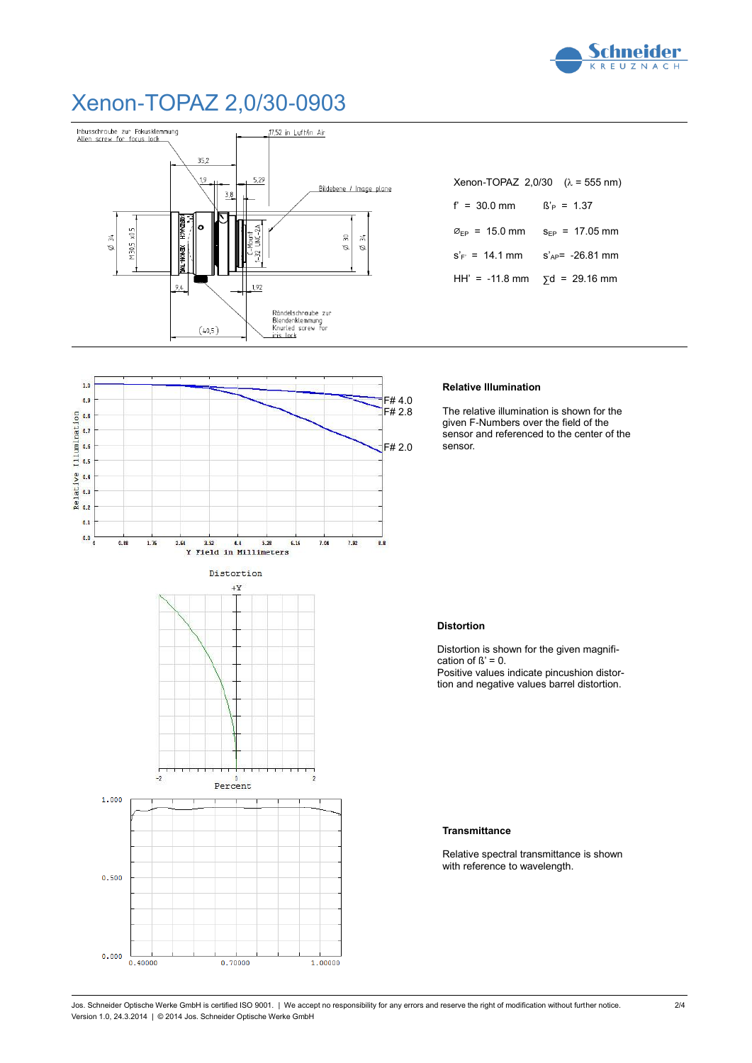

### Xenon-TOPAZ 2,0/30-0903

 $10$ 



|                                             | Xenon-TOPAZ 2,0/30 $(λ = 555 nm)$ |
|---------------------------------------------|-----------------------------------|
| $f' = 30.0$ mm                              | $\beta'_{\rm P} = 1.37$           |
| $\varnothing_{\text{FP}} = 15.0 \text{ mm}$ | $S_{FP} = 17.05$ mm               |
| $S_F = 14.1$ mm                             | $S_{AP} = -26.81$ mm              |
| HH' = -11.8 mm                              | $\sqrt{5}d = 29.16$ mm            |

#### **Relative Illumination**

The relative illumination is shown for the given F-Numbers over the field of the sensor and referenced to the center of the sensor.

### **Distortion**

Distortion is shown for the given magnification of  $\beta' = 0$ . Positive values indicate pincushion distortion and negative values barrel distortion.

#### **Transmittance**

Relative spectral transmittance is shown with reference to wavelength.



Jos. Schneider Optische Werke GmbH is certified ISO 9001. | We accept no responsibility for any errors and reserve the right of modification without further notice. Version 1.0, 24.3.2014 | © 2014 Jos. Schneider Optische Werke GmbH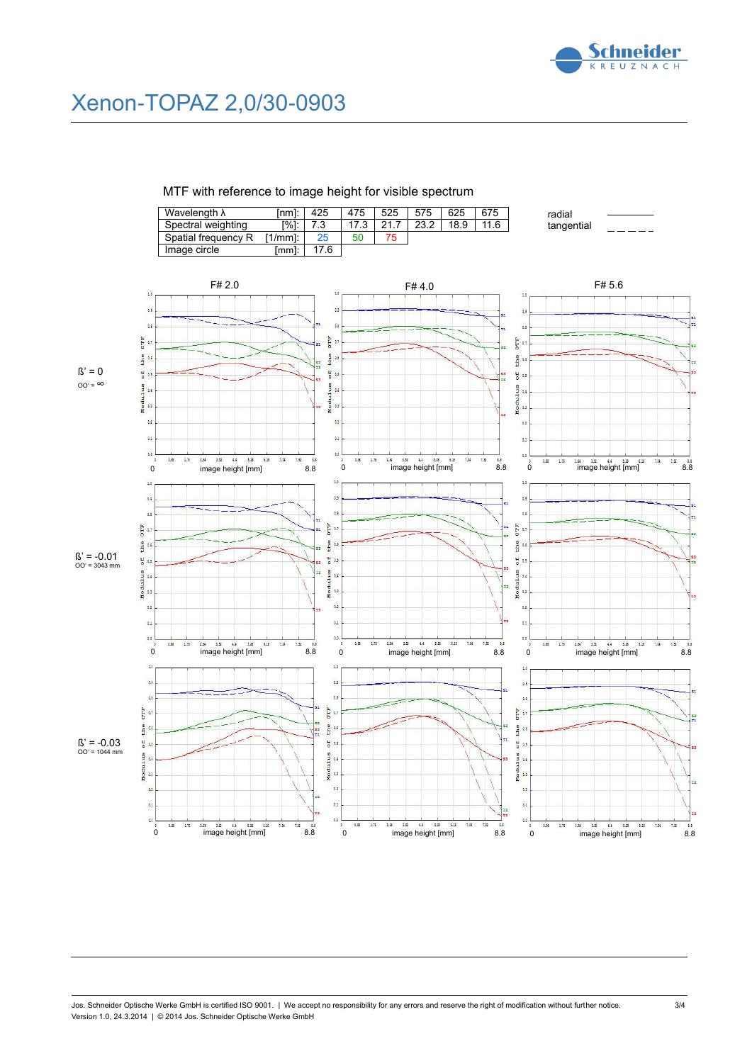

radial tangential

## Xenon-TOPAZ 2,0/30-0903

MTF with reference to image height for visible spectrum

| Wavelength $\lambda$ | 'nml:     | 425  | 475  | 525 | 575  | 625  | 675  |
|----------------------|-----------|------|------|-----|------|------|------|
| Spectral weighting   | [%]:      |      | 17.3 | 217 | 23.2 | 18.9 | 11.6 |
| Spatial frequency R  | $1/mml$ : | 25   | 50   | 75  |      |      |      |
| Image circle         | mm1:      | 17.6 |      |     |      |      |      |